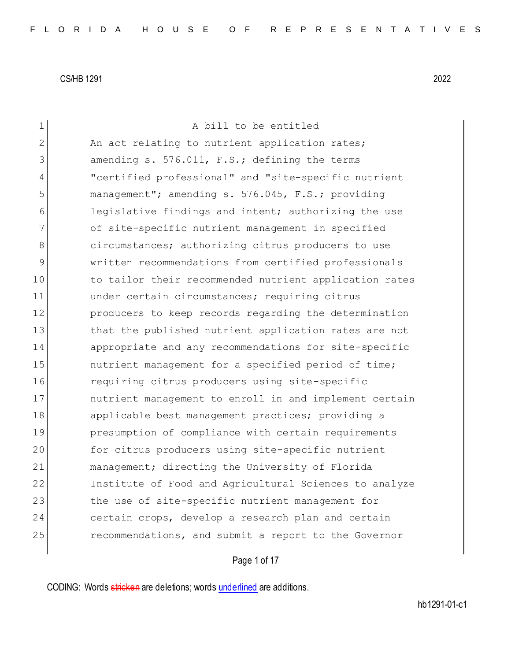| 1  | A bill to be entitled                                  |
|----|--------------------------------------------------------|
| 2  | An act relating to nutrient application rates;         |
| 3  | amending s. 576.011, F.S.; defining the terms          |
| 4  | "certified professional" and "site-specific nutrient   |
| 5  | management"; amending s. 576.045, F.S.; providing      |
| 6  | legislative findings and intent; authorizing the use   |
| 7  | of site-specific nutrient management in specified      |
| 8  | circumstances; authorizing citrus producers to use     |
| 9  | written recommendations from certified professionals   |
| 10 | to tailor their recommended nutrient application rates |
| 11 | under certain circumstances; requiring citrus          |
| 12 | producers to keep records regarding the determination  |
| 13 | that the published nutrient application rates are not  |
| 14 | appropriate and any recommendations for site-specific  |
| 15 | nutrient management for a specified period of time;    |
| 16 | requiring citrus producers using site-specific         |
| 17 | nutrient management to enroll in and implement certain |
| 18 | applicable best management practices; providing a      |
| 19 | presumption of compliance with certain requirements    |
| 20 | for citrus producers using site-specific nutrient      |
| 21 | management; directing the University of Florida        |
| 22 | Institute of Food and Agricultural Sciences to analyze |
| 23 | the use of site-specific nutrient management for       |
| 24 | certain crops, develop a research plan and certain     |
| 25 | recommendations, and submit a report to the Governor   |
|    |                                                        |

Page 1 of 17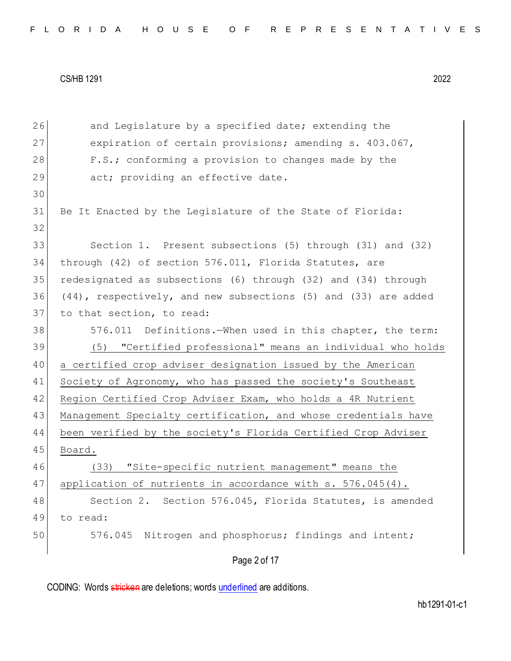| 26 | and Legislature by a specified date; extending the             |
|----|----------------------------------------------------------------|
| 27 | expiration of certain provisions; amending s. 403.067,         |
| 28 | F.S.; conforming a provision to changes made by the            |
| 29 | act; providing an effective date.                              |
| 30 |                                                                |
| 31 | Be It Enacted by the Legislature of the State of Florida:      |
| 32 |                                                                |
| 33 | Section 1. Present subsections (5) through (31) and (32)       |
| 34 | through (42) of section 576.011, Florida Statutes, are         |
| 35 | redesignated as subsections (6) through (32) and (34) through  |
| 36 | (44), respectively, and new subsections (5) and (33) are added |
| 37 | to that section, to read:                                      |
| 38 | 576.011 Definitions. When used in this chapter, the term:      |
| 39 | (5) "Certified professional" means an individual who holds     |
| 40 | a certified crop adviser designation issued by the American    |
| 41 | Society of Agronomy, who has passed the society's Southeast    |
| 42 | Region Certified Crop Adviser Exam, who holds a 4R Nutrient    |
| 43 | Management Specialty certification, and whose credentials have |
| 44 | been verified by the society's Florida Certified Crop Adviser  |
| 45 | Board.                                                         |
| 46 | (33) "Site-specific nutrient management" means the             |
| 47 | application of nutrients in accordance with s. 576.045(4).     |
| 48 | Section 2. Section 576.045, Florida Statutes, is amended       |
| 49 | to read:                                                       |
| 50 | Nitrogen and phosphorus; findings and intent;<br>576.045       |
|    | Page 2 of 17                                                   |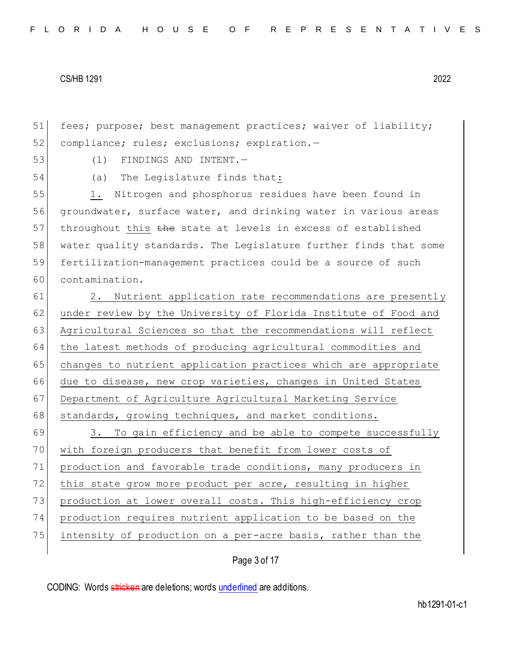51 fees; purpose; best management practices; waiver of liability; 52 compliance; rules; exclusions; expiration.-

53 (1) FINDINGS AND INTENT.—

54 (a) The Legislature finds that:

55 1. Nitrogen and phosphorus residues have been found in 56 groundwater, surface water, and drinking water in various areas 57 throughout this the state at levels in excess of established 58 water quality standards. The Legislature further finds that some 59 fertilization-management practices could be a source of such 60 contamination.

61 2. Nutrient application rate recommendations are presently 62 under review by the University of Florida Institute of Food and 63 Agricultural Sciences so that the recommendations will reflect 64 the latest methods of producing agricultural commodities and 65 changes to nutrient application practices which are appropriate 66 due to disease, new crop varieties, changes in United States 67 Department of Agriculture Agricultural Marketing Service 68 standards, growing techniques, and market conditions.

69 3. To gain efficiency and be able to compete successfully 70 with foreign producers that benefit from lower costs of 71 production and favorable trade conditions, many producers in 72 this state grow more product per acre, resulting in higher 73 production at lower overall costs. This high-efficiency crop 74 production requires nutrient application to be based on the 75 intensity of production on a per-acre basis, rather than the

Page 3 of 17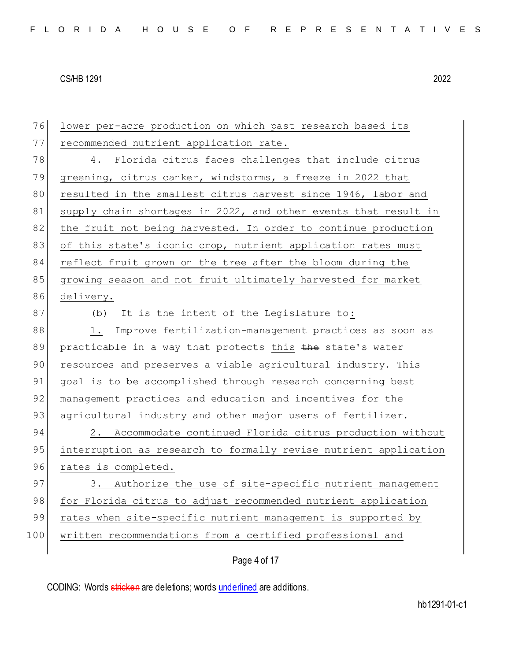| 76  | lower per-acre production on which past research based its       |
|-----|------------------------------------------------------------------|
| 77  | recommended nutrient application rate.                           |
| 78  | 4. Florida citrus faces challenges that include citrus           |
| 79  | greening, citrus canker, windstorms, a freeze in 2022 that       |
| 80  | resulted in the smallest citrus harvest since 1946, labor and    |
| 81  | supply chain shortages in 2022, and other events that result in  |
| 82  | the fruit not being harvested. In order to continue production   |
| 83  | of this state's iconic crop, nutrient application rates must     |
| 84  | reflect fruit grown on the tree after the bloom during the       |
| 85  | growing season and not fruit ultimately harvested for market     |
| 86  | delivery.                                                        |
| 87  | It is the intent of the Legislature to:<br>(b)                   |
| 88  | Improve fertilization-management practices as soon as<br>1.      |
| 89  | practicable in a way that protects this the state's water        |
| 90  | resources and preserves a viable agricultural industry. This     |
| 91  | goal is to be accomplished through research concerning best      |
| 92  | management practices and education and incentives for the        |
| 93  | agricultural industry and other major users of fertilizer.       |
| 94  | 2. Accommodate continued Florida citrus production without       |
| 95  | interruption as research to formally revise nutrient application |
| 96  | rates is completed.                                              |
| 97  | 3. Authorize the use of site-specific nutrient management        |
| 98  | for Florida citrus to adjust recommended nutrient application    |
| 99  | rates when site-specific nutrient management is supported by     |
| 100 | written recommendations from a certified professional and        |
|     | Page 4 of 17                                                     |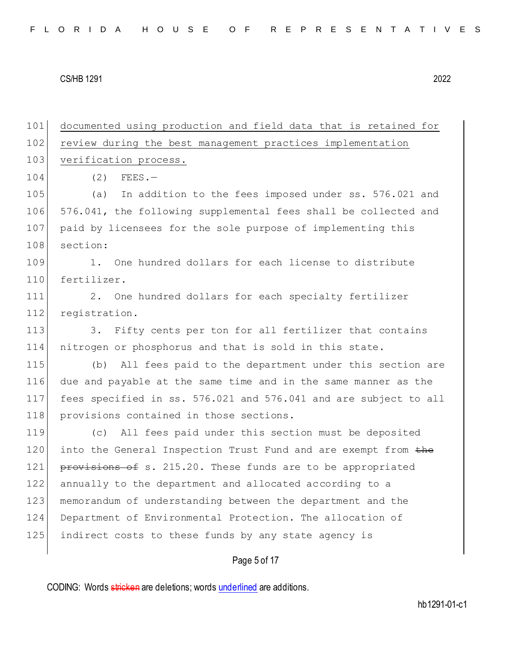| 101 | documented using production and field data that is retained for  |
|-----|------------------------------------------------------------------|
| 102 | review during the best management practices implementation       |
| 103 | verification process.                                            |
| 104 | (2)<br>$FEES. -$                                                 |
| 105 | (a)<br>In addition to the fees imposed under ss. 576.021 and     |
| 106 | 576.041, the following supplemental fees shall be collected and  |
| 107 | paid by licensees for the sole purpose of implementing this      |
| 108 | section:                                                         |
| 109 | 1.<br>One hundred dollars for each license to distribute         |
| 110 | fertilizer.                                                      |
| 111 | 2.<br>One hundred dollars for each specialty fertilizer          |
| 112 | registration.                                                    |
| 113 | Fifty cents per ton for all fertilizer that contains<br>3.       |
| 114 | nitrogen or phosphorus and that is sold in this state.           |
| 115 | All fees paid to the department under this section are<br>(b)    |
| 116 | due and payable at the same time and in the same manner as the   |
| 117 | fees specified in ss. 576.021 and 576.041 and are subject to all |
| 118 | provisions contained in those sections.                          |
| 119 | All fees paid under this section must be deposited<br>(C)        |
| 120 | into the General Inspection Trust Fund and are exempt from the   |
| 121 | provisions of s. 215.20. These funds are to be appropriated      |
| 122 | annually to the department and allocated according to a          |
| 123 | memorandum of understanding between the department and the       |
| 124 | Department of Environmental Protection. The allocation of        |
| 125 | indirect costs to these funds by any state agency is             |
|     |                                                                  |

# Page 5 of 17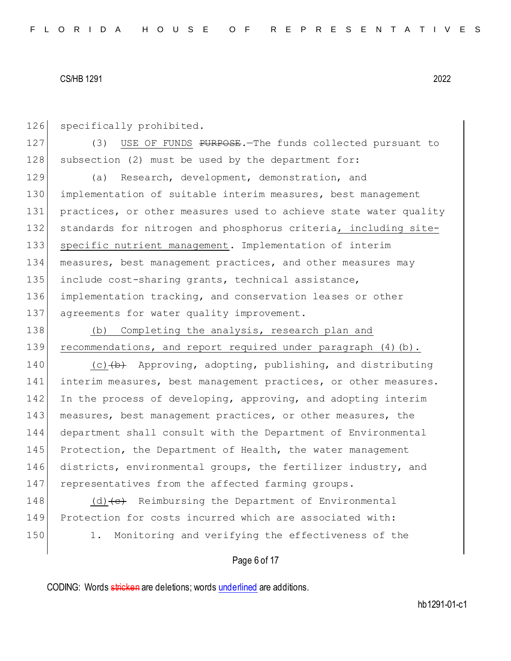126 specifically prohibited.

127 (3) USE OF FUNDS PURPOSE. The funds collected pursuant to 128 subsection (2) must be used by the department for:

129 (a) Research, development, demonstration, and 130 implementation of suitable interim measures, best management 131 practices, or other measures used to achieve state water quality 132 standards for nitrogen and phosphorus criteria, including site-133 specific nutrient management. Implementation of interim 134 measures, best management practices, and other measures may 135 include cost-sharing grants, technical assistance, 136 implementation tracking, and conservation leases or other 137 agreements for water quality improvement.

138 (b) Completing the analysis, research plan and 139 recommendations, and report required under paragraph (4)(b).

140 (c) $(b)$  Approving, adopting, publishing, and distributing 141 interim measures, best management practices, or other measures. 142 In the process of developing, approving, and adopting interim 143 measures, best management practices, or other measures, the 144 department shall consult with the Department of Environmental 145 Protection, the Department of Health, the water management 146 districts, environmental groups, the fertilizer industry, and 147 representatives from the affected farming groups.

148 (d) $\left\{\left(e\right)\right\}$  Reimbursing the Department of Environmental 149 Protection for costs incurred which are associated with: 150 1. Monitoring and verifying the effectiveness of the

## Page 6 of 17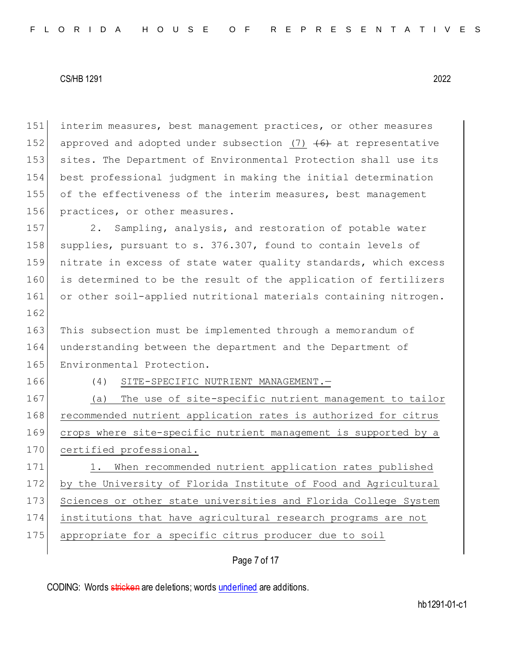interim measures, best management practices, or other measures 152 approved and adopted under subsection (7)  $\left(6\right)$  at representative sites. The Department of Environmental Protection shall use its best professional judgment in making the initial determination of the effectiveness of the interim measures, best management 156 practices, or other measures.

157 2. Sampling, analysis, and restoration of potable water 158 supplies, pursuant to s. 376.307, found to contain levels of 159 nitrate in excess of state water quality standards, which excess 160 is determined to be the result of the application of fertilizers 161 or other soil-applied nutritional materials containing nitrogen.

163 This subsection must be implemented through a memorandum of 164 understanding between the department and the Department of 165 Environmental Protection.

162

166 (4) SITE-SPECIFIC NUTRIENT MANAGEMENT.—

167 (a) The use of site-specific nutrient management to tailor 168 recommended nutrient application rates is authorized for citrus 169 crops where site-specific nutrient management is supported by a 170 certified professional.

171 1. When recommended nutrient application rates published 172 by the University of Florida Institute of Food and Agricultural 173 Sciences or other state universities and Florida College System 174 institutions that have agricultural research programs are not 175 appropriate for a specific citrus producer due to soil

# Page 7 of 17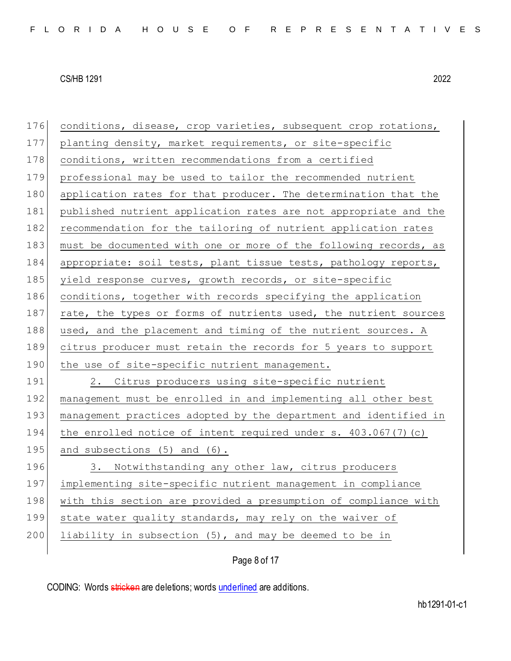| 176 | conditions, disease, crop varieties, subsequent crop rotations,  |
|-----|------------------------------------------------------------------|
| 177 | planting density, market requirements, or site-specific          |
| 178 | conditions, written recommendations from a certified             |
| 179 | professional may be used to tailor the recommended nutrient      |
| 180 | application rates for that producer. The determination that the  |
| 181 | published nutrient application rates are not appropriate and the |
| 182 | recommendation for the tailoring of nutrient application rates   |
| 183 | must be documented with one or more of the following records, as |
| 184 | appropriate: soil tests, plant tissue tests, pathology reports,  |
| 185 | yield response curves, growth records, or site-specific          |
| 186 | conditions, together with records specifying the application     |
| 187 | rate, the types or forms of nutrients used, the nutrient sources |
| 188 | used, and the placement and timing of the nutrient sources. A    |
| 189 | citrus producer must retain the records for 5 years to support   |
| 190 | the use of site-specific nutrient management.                    |
| 191 | 2. Citrus producers using site-specific nutrient                 |
| 192 | management must be enrolled in and implementing all other best   |
| 193 | management practices adopted by the department and identified in |
| 194 | the enrolled notice of intent required under s. 403.067(7)(c)    |
| 195 | and subsections (5) and (6).                                     |
| 196 | 3. Notwithstanding any other law, citrus producers               |
| 197 | implementing site-specific nutrient management in compliance     |
| 198 | with this section are provided a presumption of compliance with  |
|     |                                                                  |
| 199 | state water quality standards, may rely on the waiver of         |
| 200 | liability in subsection (5), and may be deemed to be in          |

Page 8 of 17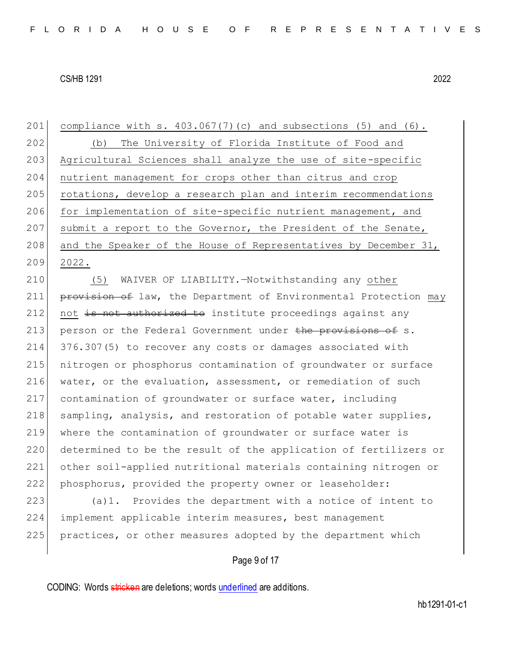201 compliance with s.  $403.067(7)(c)$  and subsections (5) and (6). 202 (b) The University of Florida Institute of Food and 203 Agricultural Sciences shall analyze the use of site-specific 204 nutrient management for crops other than citrus and crop 205 rotations, develop a research plan and interim recommendations 206 for implementation of site-specific nutrient management, and 207 submit a report to the Governor, the President of the Senate, 208 and the Speaker of the House of Representatives by December 31, 209 2022.

 (5) WAIVER OF LIABILITY.—Notwithstanding any other **provision of** law, the Department of Environmental Protection may not is not authorized to institute proceedings against any 213 person or the Federal Government under the provisions of s. 376.307(5) to recover any costs or damages associated with nitrogen or phosphorus contamination of groundwater or surface 216 water, or the evaluation, assessment, or remediation of such contamination of groundwater or surface water, including 218 sampling, analysis, and restoration of potable water supplies, where the contamination of groundwater or surface water is 220 determined to be the result of the application of fertilizers or other soil-applied nutritional materials containing nitrogen or phosphorus, provided the property owner or leaseholder:

223 (a)1. Provides the department with a notice of intent to 224 implement applicable interim measures, best management 225 practices, or other measures adopted by the department which

# Page 9 of 17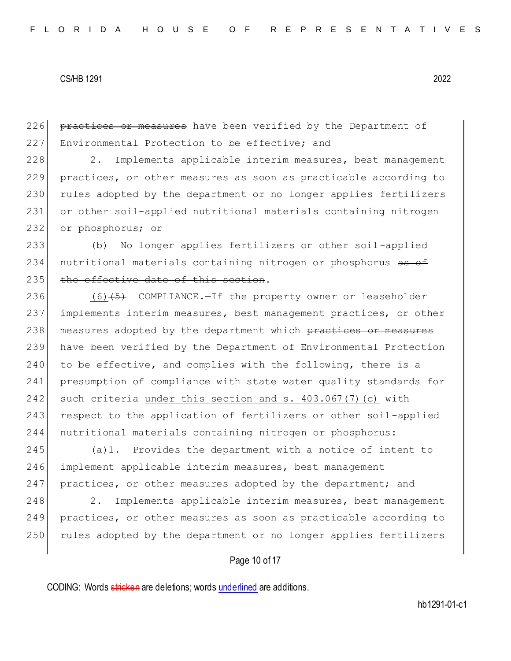226 practices or measures have been verified by the Department of 227 Environmental Protection to be effective; and

228 2. Implements applicable interim measures, best management 229 practices, or other measures as soon as practicable according to 230 rules adopted by the department or no longer applies fertilizers 231 or other soil-applied nutritional materials containing nitrogen 232 or phosphorus; or

233 (b) No longer applies fertilizers or other soil-applied 234 nutritional materials containing nitrogen or phosphorus as of 235 the effective date of this section.

236  $(6)$  (6) (5) COMPLIANCE. - If the property owner or leaseholder 237 implements interim measures, best management practices, or other 238 measures adopted by the department which practices or measures 239 have been verified by the Department of Environmental Protection  $240$  to be effective, and complies with the following, there is a 241 presumption of compliance with state water quality standards for 242 such criteria under this section and s. 403.067(7)(c) with 243 respect to the application of fertilizers or other soil-applied 244 nutritional materials containing nitrogen or phosphorus:

245 (a)1. Provides the department with a notice of intent to 246 implement applicable interim measures, best management 247 practices, or other measures adopted by the department; and

248 2. Implements applicable interim measures, best management 249 practices, or other measures as soon as practicable according to 250 rules adopted by the department or no longer applies fertilizers

## Page 10 of 17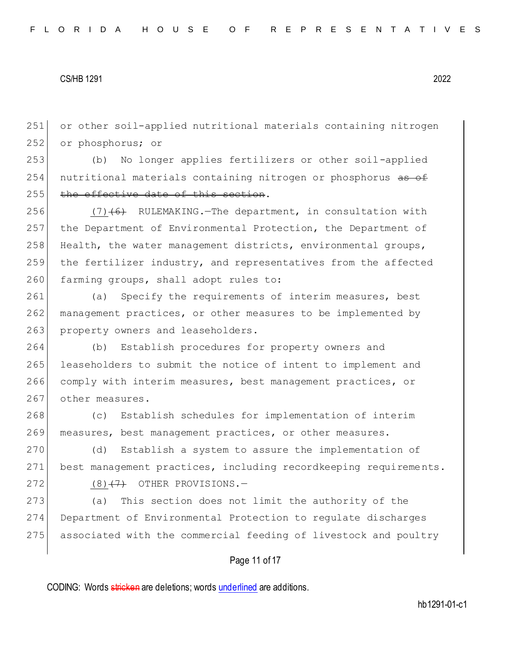251 or other soil-applied nutritional materials containing nitrogen 252 or phosphorus; or

253 (b) No longer applies fertilizers or other soil-applied 254 nutritional materials containing nitrogen or phosphorus as of 255 the effective date of this section.

 $(7)$  (6) RULEMAKING. The department, in consultation with the Department of Environmental Protection, the Department of Health, the water management districts, environmental groups, the fertilizer industry, and representatives from the affected 260 farming groups, shall adopt rules to:

261 (a) Specify the requirements of interim measures, best 262 management practices, or other measures to be implemented by 263 property owners and leaseholders.

 (b) Establish procedures for property owners and leaseholders to submit the notice of intent to implement and comply with interim measures, best management practices, or 267 other measures.

268 (c) Establish schedules for implementation of interim 269 measures, best management practices, or other measures.

270 (d) Establish a system to assure the implementation of 271 best management practices, including recordkeeping requirements.  $272$  (8)<del>(7)</del> OTHER PROVISIONS.

273 (a) This section does not limit the authority of the 274 Department of Environmental Protection to regulate discharges 275 associated with the commercial feeding of livestock and poultry

# Page 11 of 17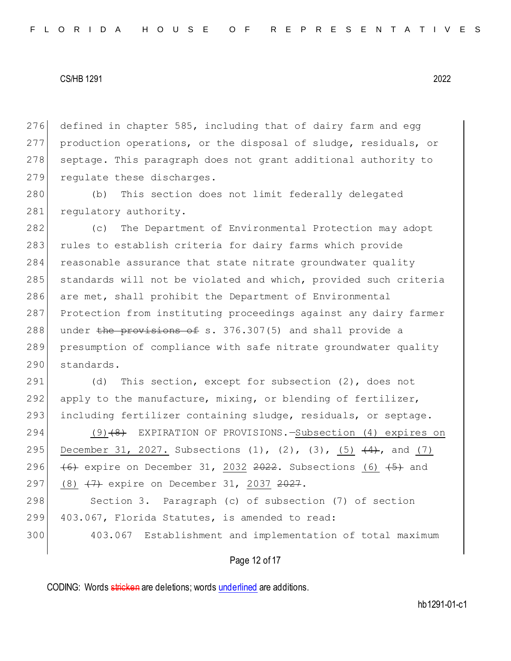276 defined in chapter 585, including that of dairy farm and egg 277 production operations, or the disposal of sludge, residuals, or 278 septage. This paragraph does not grant additional authority to 279 regulate these discharges.

280 (b) This section does not limit federally delegated 281 regulatory authority.

 (c) The Department of Environmental Protection may adopt 283 rules to establish criteria for dairy farms which provide 284 reasonable assurance that state nitrate groundwater quality standards will not be violated and which, provided such criteria are met, shall prohibit the Department of Environmental Protection from instituting proceedings against any dairy farmer 288 under the provisions of s. 376.307(5) and shall provide a presumption of compliance with safe nitrate groundwater quality standards.

291 (d) This section, except for subsection (2), does not 292 apply to the manufacture, mixing, or blending of fertilizer, 293 including fertilizer containing sludge, residuals, or septage.

294 (9)<del>(8)</del> EXPIRATION OF PROVISIONS.—Subsection (4) expires on 295 December 31, 2027. Subsections (1), (2), (3),  $(5)$   $(4)$ , and  $(7)$ 296  $\left(6\right)$  expire on December 31, 2032 2022. Subsections  $\left(6\right)$   $\left(5\right)$  and 297 (8) <del>(7)</del> expire on December 31, 2037 <del>2027</del>.

298 Section 3. Paragraph (c) of subsection (7) of section 299 403.067, Florida Statutes, is amended to read:

300 403.067 Establishment and implementation of total maximum

Page 12 of 17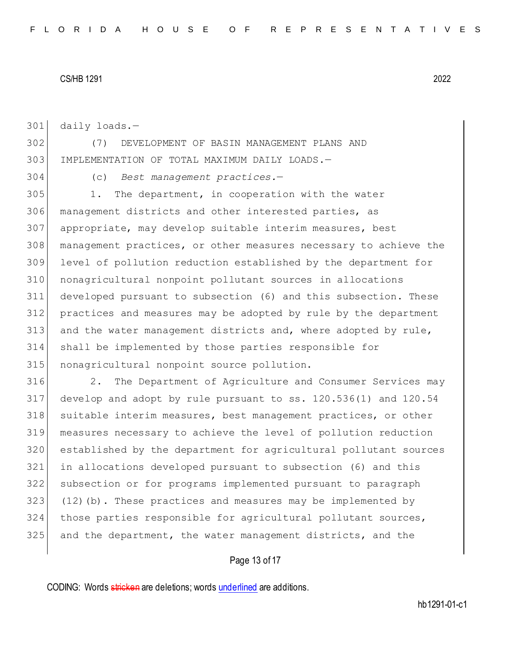daily loads.—

 (7) DEVELOPMENT OF BASIN MANAGEMENT PLANS AND IMPLEMENTATION OF TOTAL MAXIMUM DAILY LOADS.—

(c) *Best management practices.*—

 1. The department, in cooperation with the water management districts and other interested parties, as 307 appropriate, may develop suitable interim measures, best management practices, or other measures necessary to achieve the level of pollution reduction established by the department for nonagricultural nonpoint pollutant sources in allocations developed pursuant to subsection (6) and this subsection. These practices and measures may be adopted by rule by the department and the water management districts and, where adopted by rule, shall be implemented by those parties responsible for 315 nonagricultural nonpoint source pollution.

316 2. The Department of Agriculture and Consumer Services may develop and adopt by rule pursuant to ss. 120.536(1) and 120.54 suitable interim measures, best management practices, or other measures necessary to achieve the level of pollution reduction established by the department for agricultural pollutant sources in allocations developed pursuant to subsection (6) and this subsection or for programs implemented pursuant to paragraph (12)(b). These practices and measures may be implemented by those parties responsible for agricultural pollutant sources, and the department, the water management districts, and the

# Page 13 of 17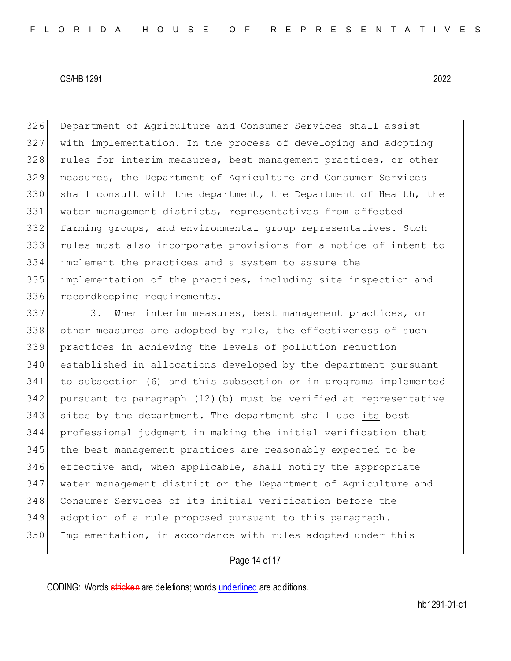Department of Agriculture and Consumer Services shall assist with implementation. In the process of developing and adopting 328 rules for interim measures, best management practices, or other measures, the Department of Agriculture and Consumer Services shall consult with the department, the Department of Health, the water management districts, representatives from affected farming groups, and environmental group representatives. Such rules must also incorporate provisions for a notice of intent to implement the practices and a system to assure the implementation of the practices, including site inspection and 336 recordkeeping requirements.

337 3. When interim measures, best management practices, or 338 other measures are adopted by rule, the effectiveness of such practices in achieving the levels of pollution reduction established in allocations developed by the department pursuant to subsection (6) and this subsection or in programs implemented pursuant to paragraph (12)(b) must be verified at representative sites by the department. The department shall use its best professional judgment in making the initial verification that 345 the best management practices are reasonably expected to be effective and, when applicable, shall notify the appropriate water management district or the Department of Agriculture and Consumer Services of its initial verification before the adoption of a rule proposed pursuant to this paragraph. 350 Implementation, in accordance with rules adopted under this

# Page 14 of 17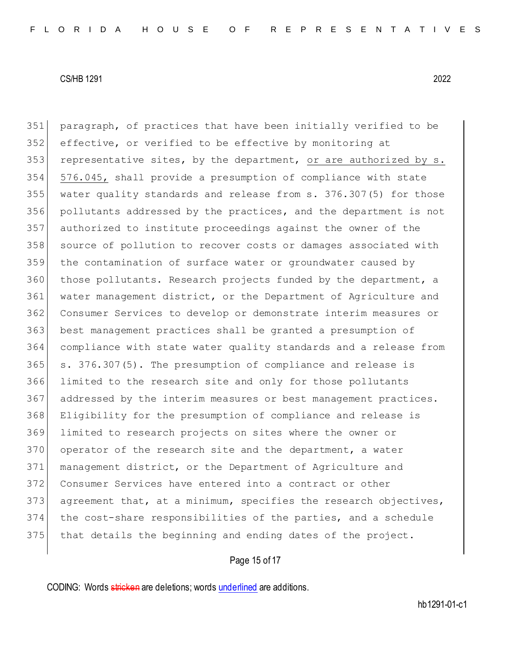paragraph, of practices that have been initially verified to be effective, or verified to be effective by monitoring at 353 representative sites, by the department, or are authorized by  $s$ . 576.045, shall provide a presumption of compliance with state water quality standards and release from s. 376.307(5) for those pollutants addressed by the practices, and the department is not authorized to institute proceedings against the owner of the source of pollution to recover costs or damages associated with 359 the contamination of surface water or groundwater caused by those pollutants. Research projects funded by the department, a water management district, or the Department of Agriculture and Consumer Services to develop or demonstrate interim measures or best management practices shall be granted a presumption of compliance with state water quality standards and a release from s. 376.307(5). The presumption of compliance and release is limited to the research site and only for those pollutants 367 addressed by the interim measures or best management practices. Eligibility for the presumption of compliance and release is limited to research projects on sites where the owner or 370 operator of the research site and the department, a water management district, or the Department of Agriculture and Consumer Services have entered into a contract or other 373 agreement that, at a minimum, specifies the research objectives, the cost-share responsibilities of the parties, and a schedule 375 that details the beginning and ending dates of the project.

# Page 15 of 17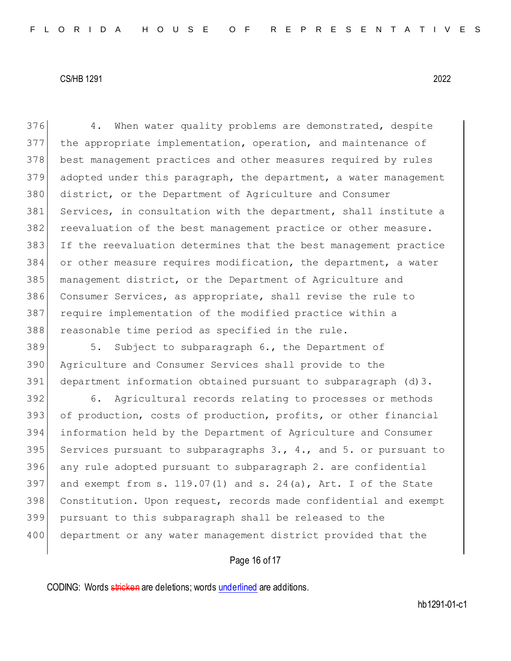376 4. When water quality problems are demonstrated, despite the appropriate implementation, operation, and maintenance of best management practices and other measures required by rules adopted under this paragraph, the department, a water management district, or the Department of Agriculture and Consumer Services, in consultation with the department, shall institute a reevaluation of the best management practice or other measure. If the reevaluation determines that the best management practice or other measure requires modification, the department, a water management district, or the Department of Agriculture and Consumer Services, as appropriate, shall revise the rule to require implementation of the modified practice within a reasonable time period as specified in the rule.

 5. Subject to subparagraph 6., the Department of Agriculture and Consumer Services shall provide to the department information obtained pursuant to subparagraph (d)3.

 6. Agricultural records relating to processes or methods of production, costs of production, profits, or other financial information held by the Department of Agriculture and Consumer 395 Services pursuant to subparagraphs  $3.7, 4.7$  and  $5.$  or pursuant to any rule adopted pursuant to subparagraph 2. are confidential 397 and exempt from s.  $119.07(1)$  and s.  $24(a)$ , Art. I of the State Constitution. Upon request, records made confidential and exempt pursuant to this subparagraph shall be released to the 400 department or any water management district provided that the

# Page 16 of 17